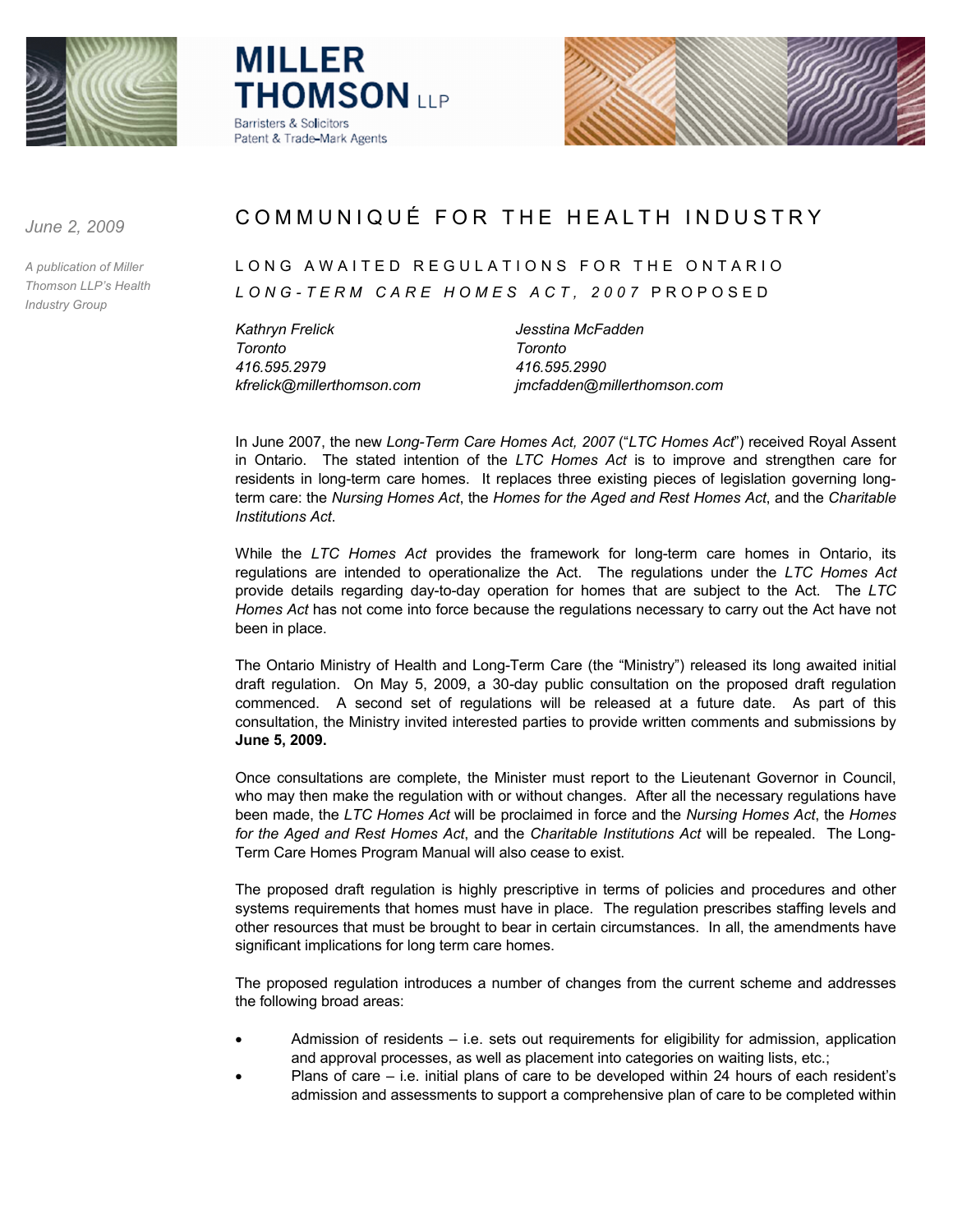





*June 2, 2009*

*A publication of Miller Thomson LLP's Health Industry Group*

# COMMUNIQUÉ FOR THE HEALTH INDUSTRY

## LONG AWAITED REGULATIONS FOR THE ONTARIO *LONG - TERM CARE HOMES ACT, 2007* PROPOSED

*Kathryn Frelick Jesstina McFadden Toronto Toronto 416.595.2979 416.595.2990*

*kfrelick@millerthomson.com jmcfadden@millerthomson.com*

In June 2007, the new *Long-Term Care Homes Act, 2007* ("*LTC Homes Act*") received Royal Assent in Ontario. The stated intention of the *LTC Homes Act* is to improve and strengthen care for residents in long-term care homes. It replaces three existing pieces of legislation governing longterm care: the *Nursing Homes Act*, the *Homes for the Aged and Rest Homes Act*, and the *Charitable Institutions Act*.

While the *LTC Homes Act* provides the framework for long-term care homes in Ontario, its regulations are intended to operationalize the Act. The regulations under the *LTC Homes Act* provide details regarding day-to-day operation for homes that are subject to the Act. The *LTC Homes Act* has not come into force because the regulations necessary to carry out the Act have not been in place.

The Ontario Ministry of Health and Long-Term Care (the "Ministry") released its long awaited initial draft regulation. On May 5, 2009, a 30-day public consultation on the proposed draft regulation commenced. A second set of regulations will be released at a future date. As part of this consultation, the Ministry invited interested parties to provide written comments and submissions by **June 5, 2009.** 

Once consultations are complete, the Minister must report to the Lieutenant Governor in Council, who may then make the regulation with or without changes. After all the necessary regulations have been made, the *LTC Homes Act* will be proclaimed in force and the *Nursing Homes Act*, the *Homes for the Aged and Rest Homes Act*, and the *Charitable Institutions Act* will be repealed. The Long-Term Care Homes Program Manual will also cease to exist.

The proposed draft regulation is highly prescriptive in terms of policies and procedures and other systems requirements that homes must have in place. The regulation prescribes staffing levels and other resources that must be brought to bear in certain circumstances. In all, the amendments have significant implications for long term care homes.

The proposed regulation introduces a number of changes from the current scheme and addresses the following broad areas:

- Admission of residents  $-$  i.e. sets out requirements for eligibility for admission, application and approval processes, as well as placement into categories on waiting lists, etc.;
- Plans of care i.e. initial plans of care to be developed within 24 hours of each resident's admission and assessments to support a comprehensive plan of care to be completed within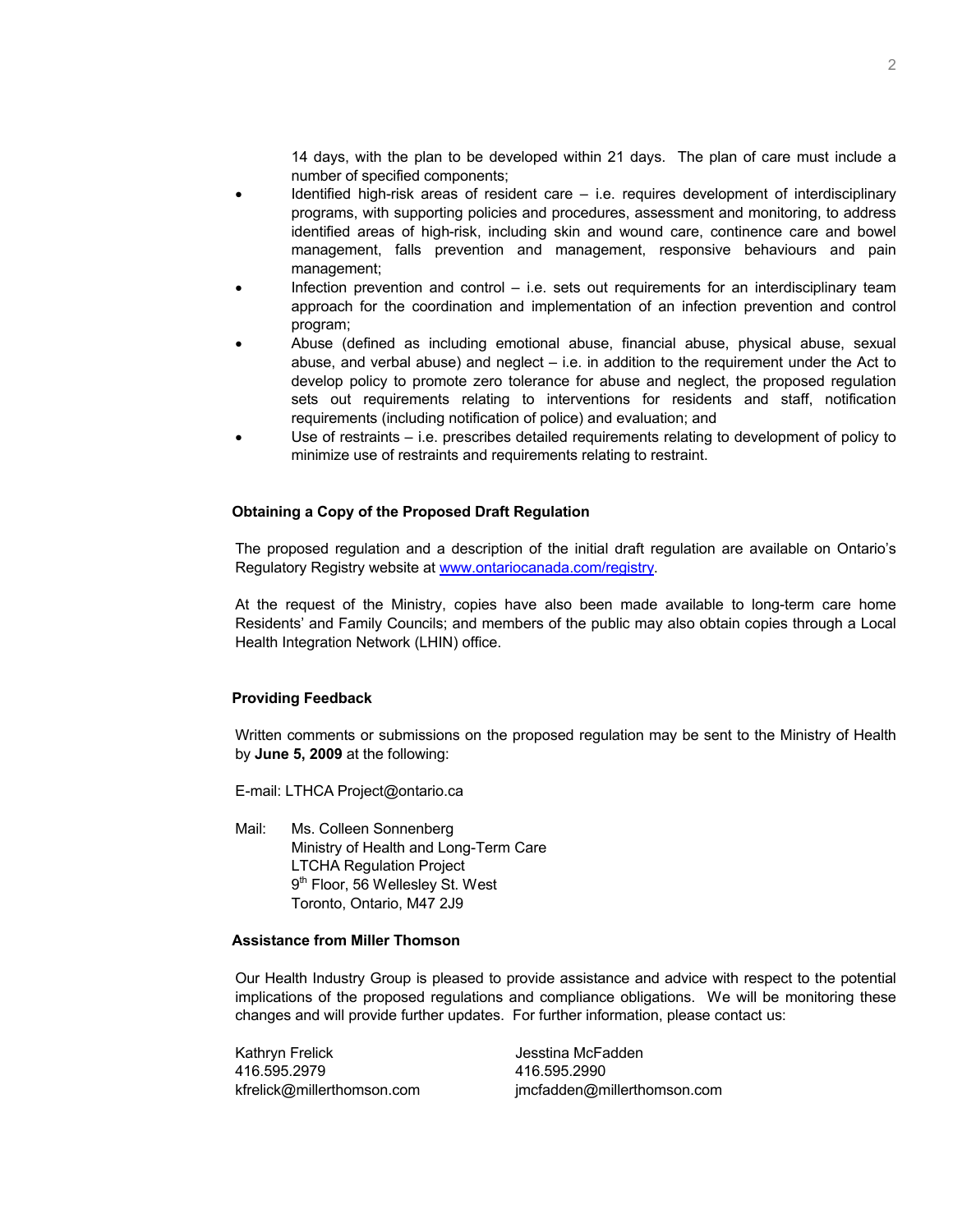14 days, with the plan to be developed within 21 days. The plan of care must include a number of specified components;

- Identified high-risk areas of resident care  $-$  i.e. requires development of interdisciplinary programs, with supporting policies and procedures, assessment and monitoring, to address identified areas of high-risk, including skin and wound care, continence care and bowel management, falls prevention and management, responsive behaviours and pain management;
- Infection prevention and control  $-$  i.e. sets out requirements for an interdisciplinary team approach for the coordination and implementation of an infection prevention and control program;
- · Abuse (defined as including emotional abuse, financial abuse, physical abuse, sexual abuse, and verbal abuse) and neglect – i.e. in addition to the requirement under the Act to develop policy to promote zero tolerance for abuse and neglect, the proposed regulation sets out requirements relating to interventions for residents and staff, notification requirements (including notification of police) and evaluation; and
- Use of restraints i.e. prescribes detailed requirements relating to development of policy to minimize use of restraints and requirements relating to restraint.

## **Obtaining a Copy of the Proposed Draft Regulation**

The proposed regulation and a description of the initial draft regulation are available on Ontario's Regulatory Registry website at<www.ontariocanada.com/registry>.

At the request of the Ministry, copies have also been made available to long-term care home Residents' and Family Councils; and members of the public may also obtain copies through a Local Health Integration Network (LHIN) office.

## **Providing Feedback**

Written comments or submissions on the proposed regulation may be sent to the Ministry of Health by **June 5, 2009** at the following:

E-mail: LTHCA Project@ontario.ca

Mail: Ms. Colleen Sonnenberg Ministry of Health and Long-Term Care LTCHA Regulation Project 9<sup>th</sup> Floor, 56 Wellesley St. West Toronto, Ontario, M47 2J9

## **Assistance from Miller Thomson**

Our Health Industry Group is pleased to provide assistance and advice with respect to the potential implications of the proposed regulations and compliance obligations. We will be monitoring these changes and will provide further updates. For further information, please contact us:

| Kathryn Frelick             | Jesstina McFadden           |
|-----------------------------|-----------------------------|
| 416.595.2979                | 416.595.2990                |
| kfrelick@millerthomson.com_ | jmcfadden@millerthomson.com |